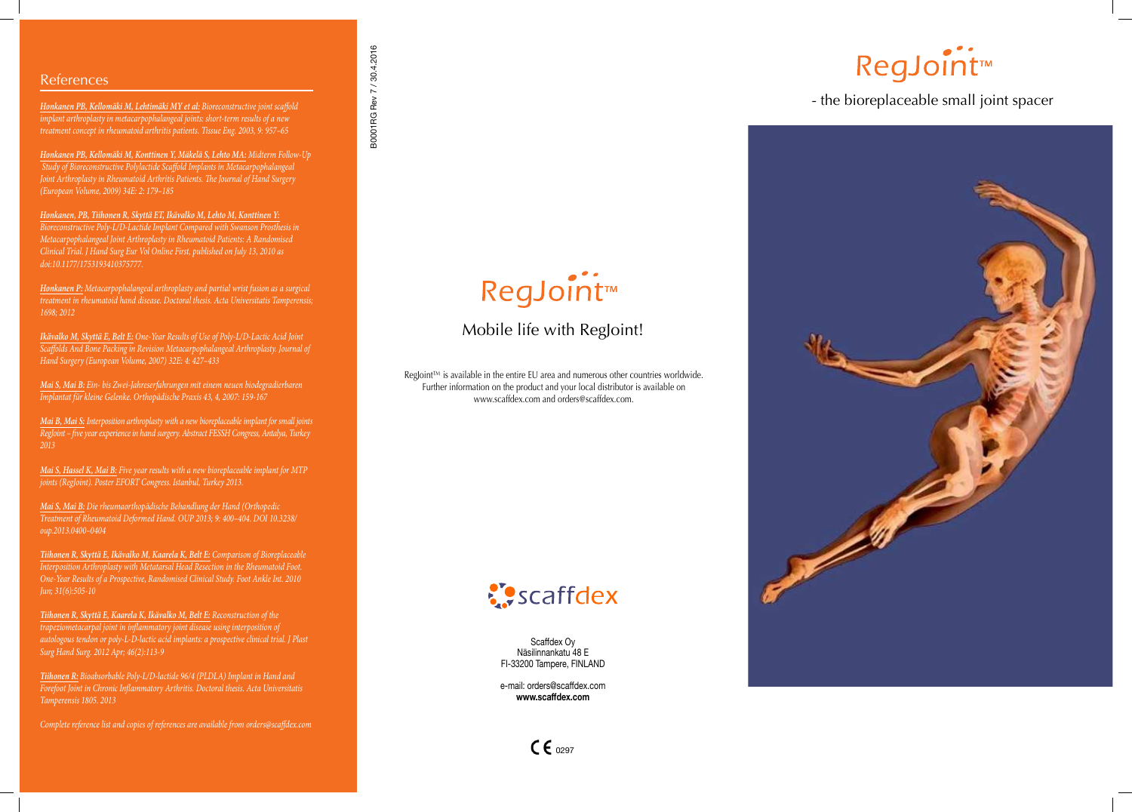*Honkanen PB, Kellomäki M, Lehtimäki MY et al: Bioreconstructive joint scaffold implant arthroplasty in metacarpophalangeal joints: short-term results of a new treatment concept in rheumatoid arthritis patients. Tissue Eng. 2003, 9: 957–65* 

*Honkanen PB, Kellomäki M, Konttinen Y, Mäkelä S, Lehto MA: Midterm Follow-Up Study of Bioreconstructive Polylactide Scaffold Implants in Metacarpophalangeal Joint Arthroplasty in Rheumatoid Arthritis Patients. The Journal of Hand Surgery (European Volume, 2009) 34E: 2: 179–185* 

*Honkanen, PB, Tiihonen R, Skyttä ET, Ikävalko M, Lehto M, Konttinen Y: Bioreconstructive Poly-L/D-Lactide Implant Compared with Swanson Prosthesis in Metacarpophalangeal Joint Arthroplasty in Rheumatoid Patients: A Randomised Clinical Trial. J Hand Surg Eur Vol Online First, published on July 13, 2010 as doi:10.1177/1753193410375777.*

*Honkanen P: Metacarpophalangeal arthroplasty and partial wrist fusion as a surgical treatment in rheumatoid hand disease. Doctoral thesis. Acta Universitatis Tamperensis; 1698; 2012* 

*Ikävalko M, Skyttä E, Belt E: One-Year Results of Use of Poly-L/D-Lactic Acid Joint Scaffolds And Bone Packing in Revision Metacarpophalangeal Arthroplasty. Journal of Hand Surgery (European Volume, 2007) 32E: 4: 427–433* 

*Mai S, Mai B: Ein- bis Zwei-Jahreserfahrungen mit einem neuen biodegradierbaren Implantat für kleine Gelenke. Orthopädische Praxis 43, 4, 2007: 159-167* 

# RegJoint™

*Mai B, Mai S: Interposition arthroplasty with a new bioreplaceable implant for small joints RegJoint – five year experience in hand surgery. Abstract FESSH Congress, Antalya, Turkey 2013*

RegJoint™ is available in the entire EU area and numerous other countries worldwide. Further information on the product and your local distributor is available on www.scaffdex.com and orders@scaffdex.com.



*Mai S, Hassel K, Mai B: Five year results with a new bioreplaceable implant for MTP joints (RegJoint). Poster EFORT Congress. Istanbul, Turkey 2013.*

*Mai S, Mai B: Die rheumaorthopädische Behandlung der Hand (Orthopedic Treatment of Rheumatoid Deformed Hand. OUP 2013; 9: 400–404. DOI 10.3238/ oup.2013.0400–0404*

*Tiihonen R, Skyttä E, Ikävalko M, Kaarela K, Belt E: Comparison of Bioreplaceable Interposition Arthroplasty with Metatarsal Head Resection in the Rheumatoid Foot. One-Year Results of a Prospective, Randomised Clinical Study. Foot Ankle Int. 2010 Jun; 31(6):505-10* 

*Tiihonen R, Skyttä E, Kaarela K, Ikävalko M, Belt E: Reconstruction of the trapeziometacarpal joint in inflammatory joint disease using interposition of autologous tendon or poly-L-D-lactic acid implants: a prospective clinical trial. J Plast Surg Hand Surg. 2012 Apr; 46(2):113-9* 

*Tiihonen R: Bioabsorbable Poly-L/D-lactide 96/4 (PLDLA) Implant in Hand and Forefoot Joint in Chronic Inflammatory Arthritis. Doctoral thesis. Acta Universitatis Tamperensis 1805. 2013*

*Complete reference list and copies of references are available from orders@scaffdex.com*

#### - the bioreplaceable small joint spacer



Scaffdex Oy Näsilinnankatu 48 E FI-33200 Tampere, FINLAND

e-mail: orders@scaffdex.com **www.scaffdex.com**





# RegJoint™

### Mobile life with RegJoint!

#### References